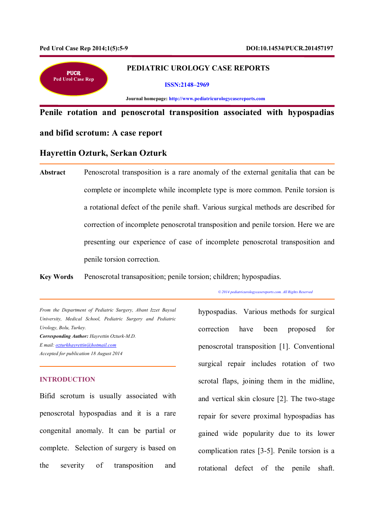j



# **PEDIATRIC UROLOGY CASE REPORTS**

#### **ISSN:2148–2969**

 **Journal homepage: http://www.pediatricurologycasereports.com**

**Penile rotation and penoscrotal transposition associated with hypospadias** 

# **and bifid scrotum: A case report**

# **Hayrettin Ozturk, Serkan Ozturk**

**Abstract** Penoscrotal transposition is a rare anomaly of the external genitalia that can be complete or incomplete while incomplete type is more common. Penile torsion is a rotational defect of the penile shaft. Various surgical methods are described for correction of incomplete penoscrotal transposition and penile torsion. Here we are presenting our experience of case of incomplete penoscrotal transposition and penile torsion correction.

**Key Words** Penoscrotal transaposition; penile torsion; children; hypospadias.

*© 2014 pediatricurologycasereports.com. All Rights Reserved*

*From the Department of Pediatric Surgery, Abant Izzet Baysal University, Medical School, Pediatric Surgery and Pediatric Urology, Bolu, Turkey. Corresponding Author: Hayrettin Ozturk-M.D. E mail: ozturkhayrettin@hotmail.com Accepted for publication 18 August 2014*

### **INTRODUCTION**

Bifid scrotum is usually associated with penoscrotal hypospadias and it is a rare congenital anomaly. It can be partial or complete. Selection of surgery is based on the severity of transposition and

hypospadias. Various methods for surgical correction have been proposed for penoscrotal transposition [1]. Conventional surgical repair includes rotation of two scrotal flaps, joining them in the midline, and vertical skin closure [2]. The two-stage repair for severe proximal hypospadias has gained wide popularity due to its lower complication rates [3-5]. Penile torsion is a rotational defect of the penile shaft.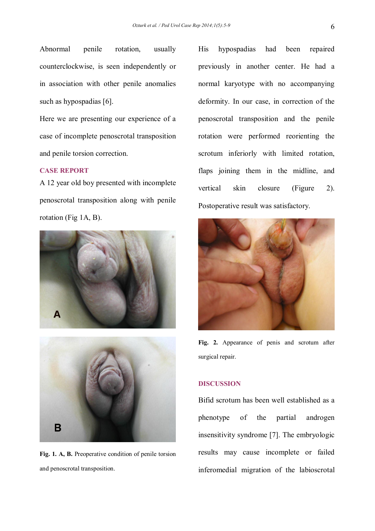Abnormal penile rotation, usually counterclockwise, is seen independently or in association with other penile anomalies such as hypospadias [6].

Here we are presenting our experience of a case of incomplete penoscrotal transposition and penile torsion correction.

### **CASE REPORT**

A 12 year old boy presented with incomplete penoscrotal transposition along with penile rotation (Fig 1A, B).





**Fig. 1. A, B.** Preoperative condition of penile torsion and penoscrotal transposition.

His hypospadias had been repaired previously in another center. He had a normal karyotype with no accompanying deformity. In our case, in correction of the penoscrotal transposition and the penile rotation were performed reorienting the scrotum inferiorly with limited rotation, flaps joining them in the midline, and vertical skin closure (Figure 2). Postoperative result was satisfactory.



**Fig. 2.** Appearance of penis and scrotum after surgical repair.

# **DISCUSSION**

Bifid scrotum has been well established as a phenotype of the partial androgen insensitivity syndrome [7]. The embryologic results may cause incomplete or failed inferomedial migration of the labioscrotal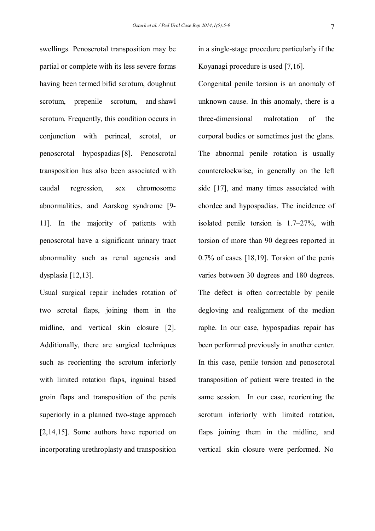swellings. Penoscrotal transposition may be partial or complete with its less severe forms having been termed bifid scrotum, doughnut scrotum, prepenile scrotum, and shawl scrotum. Frequently, this condition occurs in conjunction with perineal, scrotal, or penoscrotal hypospadias [8]. Penoscrotal transposition has also been associated with caudal regression, sex chromosome abnormalities, and Aarskog syndrome [9- 11]. In the majority of patients with penoscrotal have a significant urinary tract abnormality such as renal agenesis and dysplasia [12,13].

Usual surgical repair includes rotation of two scrotal flaps, joining them in the midline, and vertical skin closure [2]. Additionally, there are surgical techniques such as reorienting the scrotum inferiorly with limited rotation flaps, inguinal based groin flaps and transposition of the penis superiorly in a planned two-stage approach [2,14,15]. Some authors have reported on incorporating urethroplasty and transposition

in a single-stage procedure particularly if the Koyanagi procedure is used [7,16].

Congenital penile torsion is an anomaly of unknown cause. In this anomaly, there is a three-dimensional malrotation of the corporal bodies or sometimes just the glans. The abnormal penile rotation is usually counterclockwise, in generally on the left side [17], and many times associated with chordee and hypospadias. The incidence of isolated penile torsion is 1.7–27%, with torsion of more than 90 degrees reported in 0.7% of cases [18,19]. Torsion of the penis varies between 30 degrees and 180 degrees. The defect is often correctable by penile degloving and realignment of the median raphe. In our case, hypospadias repair has been performed previously in another center. In this case, penile torsion and penoscrotal transposition of patient were treated in the same session. In our case, reorienting the scrotum inferiorly with limited rotation, flaps joining them in the midline, and vertical skin closure were performed. No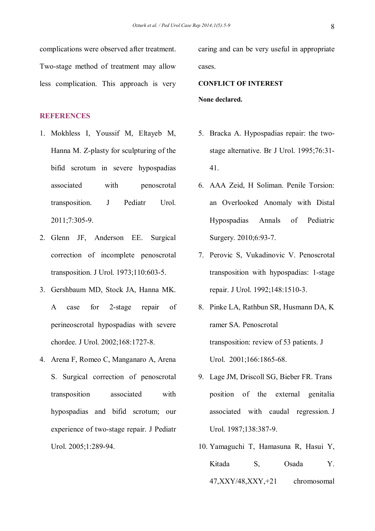complications were observed after treatment. Two-stage method of treatment may allow less complication. This approach is very

### **REFERENCES**

- 1. Mokhless I, Youssif M, Eltayeb M, Hanna M. Z-plasty for sculpturing of the bifid scrotum in severe hypospadias associated with penoscrotal transposition. J Pediatr Urol. 2011;7:305-9.
- 2. Glenn JF, Anderson EE. Surgical correction of incomplete penoscrotal transposition. J Urol. 1973;110:603-5.
- 3. Gershbaum MD, Stock JA, Hanna MK. A case for 2-stage repair of perineoscrotal hypospadias with severe chordee. J Urol. 2002;168:1727-8.
- 4. Arena F, Romeo C, Manganaro A, Arena S. Surgical correction of penoscrotal transposition associated with hypospadias and bifid scrotum; our experience of two-stage repair. J Pediatr Urol. 2005;1:289-94.

caring and can be very useful in appropriate cases.

**CONFLICT OF INTEREST None declared.**

- 5. Bracka A. Hypospadias repair: the twostage alternative. Br J Urol. 1995;76:31- 41.
- 6. AAA Zeid, H Soliman. Penile Torsion: an Overlooked Anomaly with Distal Hypospadias Annals of Pediatric Surgery. 2010;6:93-7.
- 7. Perovic S, Vukadinovic V. Penoscrotal transposition with hypospadias: 1-stage repair. J Urol. 1992;148:1510-3.
- 8. Pinke LA, Rathbun SR, Husmann DA, K ramer SA. Penoscrotal transposition: review of 53 patients. J Urol. 2001;166:1865-68.
- 9. Lage JM, Driscoll SG, Bieber FR. Trans position of the external genitalia associated with caudal regression. J Urol. 1987;138:387-9.
- 10. Yamaguchi T, Hamasuna R, Hasui Y, Kitada S, Osada Y. 47,XXY/48,XXY,+21 chromosomal